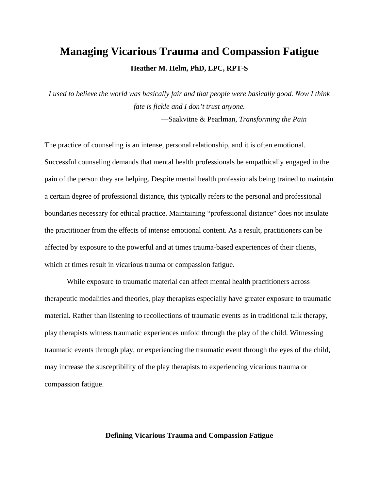# **Managing Vicarious Trauma and Compassion Fatigue Heather M. Helm, PhD, LPC, RPT-S**

*I used to believe the world was basically fair and that people were basically good. Now I think fate is fickle and I don't trust anyone.* 

—Saakvitne & Pearlman, *Transforming the Pain* 

The practice of counseling is an intense, personal relationship, and it is often emotional. Successful counseling demands that mental health professionals be empathically engaged in the pain of the person they are helping. Despite mental health professionals being trained to maintain a certain degree of professional distance, this typically refers to the personal and professional boundaries necessary for ethical practice. Maintaining "professional distance" does not insulate the practitioner from the effects of intense emotional content. As a result, practitioners can be affected by exposure to the powerful and at times trauma-based experiences of their clients, which at times result in vicarious trauma or compassion fatigue.

While exposure to traumatic material can affect mental health practitioners across therapeutic modalities and theories, play therapists especially have greater exposure to traumatic material. Rather than listening to recollections of traumatic events as in traditional talk therapy, play therapists witness traumatic experiences unfold through the play of the child. Witnessing traumatic events through play, or experiencing the traumatic event through the eyes of the child, may increase the susceptibility of the play therapists to experiencing vicarious trauma or compassion fatigue.

# **Defining Vicarious Trauma and Compassion Fatigue**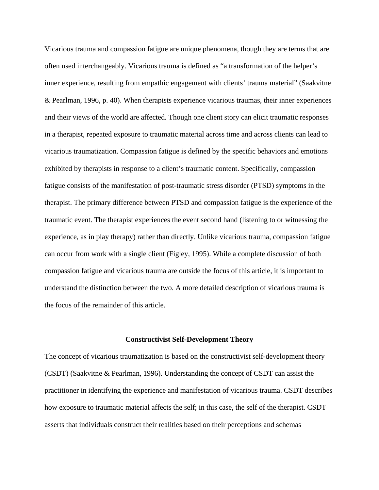Vicarious trauma and compassion fatigue are unique phenomena, though they are terms that are often used interchangeably. Vicarious trauma is defined as "a transformation of the helper's inner experience, resulting from empathic engagement with clients' trauma material" (Saakvitne & Pearlman, 1996, p. 40). When therapists experience vicarious traumas, their inner experiences and their views of the world are affected. Though one client story can elicit traumatic responses in a therapist, repeated exposure to traumatic material across time and across clients can lead to vicarious traumatization. Compassion fatigue is defined by the specific behaviors and emotions exhibited by therapists in response to a client's traumatic content. Specifically, compassion fatigue consists of the manifestation of post-traumatic stress disorder (PTSD) symptoms in the therapist. The primary difference between PTSD and compassion fatigue is the experience of the traumatic event. The therapist experiences the event second hand (listening to or witnessing the experience, as in play therapy) rather than directly. Unlike vicarious trauma, compassion fatigue can occur from work with a single client (Figley, 1995). While a complete discussion of both compassion fatigue and vicarious trauma are outside the focus of this article, it is important to understand the distinction between the two. A more detailed description of vicarious trauma is the focus of the remainder of this article.

#### **Constructivist Self-Development Theory**

The concept of vicarious traumatization is based on the constructivist self-development theory (CSDT) (Saakvitne & Pearlman, 1996). Understanding the concept of CSDT can assist the practitioner in identifying the experience and manifestation of vicarious trauma. CSDT describes how exposure to traumatic material affects the self; in this case, the self of the therapist. CSDT asserts that individuals construct their realities based on their perceptions and schemas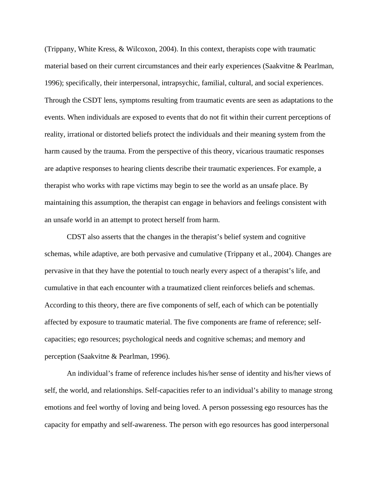(Trippany, White Kress, & Wilcoxon, 2004). In this context, therapists cope with traumatic material based on their current circumstances and their early experiences (Saakvitne & Pearlman, 1996); specifically, their interpersonal, intrapsychic, familial, cultural, and social experiences. Through the CSDT lens, symptoms resulting from traumatic events are seen as adaptations to the events. When individuals are exposed to events that do not fit within their current perceptions of reality, irrational or distorted beliefs protect the individuals and their meaning system from the harm caused by the trauma. From the perspective of this theory, vicarious traumatic responses are adaptive responses to hearing clients describe their traumatic experiences. For example, a therapist who works with rape victims may begin to see the world as an unsafe place. By maintaining this assumption, the therapist can engage in behaviors and feelings consistent with an unsafe world in an attempt to protect herself from harm.

CDST also asserts that the changes in the therapist's belief system and cognitive schemas, while adaptive, are both pervasive and cumulative (Trippany et al., 2004). Changes are pervasive in that they have the potential to touch nearly every aspect of a therapist's life, and cumulative in that each encounter with a traumatized client reinforces beliefs and schemas. According to this theory, there are five components of self, each of which can be potentially affected by exposure to traumatic material. The five components are frame of reference; selfcapacities; ego resources; psychological needs and cognitive schemas; and memory and perception (Saakvitne & Pearlman, 1996).

An individual's frame of reference includes his/her sense of identity and his/her views of self, the world, and relationships. Self-capacities refer to an individual's ability to manage strong emotions and feel worthy of loving and being loved. A person possessing ego resources has the capacity for empathy and self-awareness. The person with ego resources has good interpersonal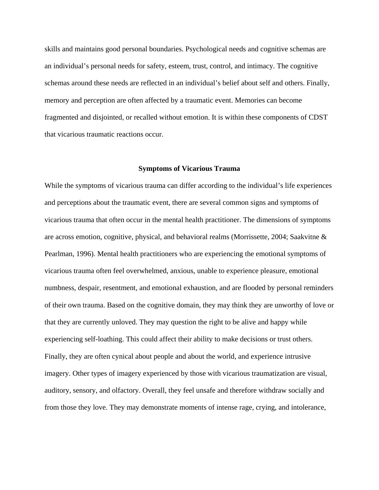skills and maintains good personal boundaries. Psychological needs and cognitive schemas are an individual's personal needs for safety, esteem, trust, control, and intimacy. The cognitive schemas around these needs are reflected in an individual's belief about self and others. Finally, memory and perception are often affected by a traumatic event. Memories can become fragmented and disjointed, or recalled without emotion. It is within these components of CDST that vicarious traumatic reactions occur.

#### **Symptoms of Vicarious Trauma**

While the symptoms of vicarious trauma can differ according to the individual's life experiences and perceptions about the traumatic event, there are several common signs and symptoms of vicarious trauma that often occur in the mental health practitioner. The dimensions of symptoms are across emotion, cognitive, physical, and behavioral realms (Morrissette, 2004; Saakvitne & Pearlman, 1996). Mental health practitioners who are experiencing the emotional symptoms of vicarious trauma often feel overwhelmed, anxious, unable to experience pleasure, emotional numbness, despair, resentment, and emotional exhaustion, and are flooded by personal reminders of their own trauma. Based on the cognitive domain, they may think they are unworthy of love or that they are currently unloved. They may question the right to be alive and happy while experiencing self-loathing. This could affect their ability to make decisions or trust others. Finally, they are often cynical about people and about the world, and experience intrusive imagery. Other types of imagery experienced by those with vicarious traumatization are visual, auditory, sensory, and olfactory. Overall, they feel unsafe and therefore withdraw socially and from those they love. They may demonstrate moments of intense rage, crying, and intolerance,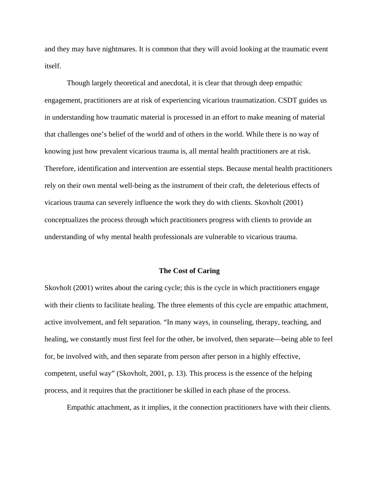and they may have nightmares. It is common that they will avoid looking at the traumatic event itself.

 Though largely theoretical and anecdotal, it is clear that through deep empathic engagement, practitioners are at risk of experiencing vicarious traumatization. CSDT guides us in understanding how traumatic material is processed in an effort to make meaning of material that challenges one's belief of the world and of others in the world. While there is no way of knowing just how prevalent vicarious trauma is, all mental health practitioners are at risk. Therefore, identification and intervention are essential steps. Because mental health practitioners rely on their own mental well-being as the instrument of their craft, the deleterious effects of vicarious trauma can severely influence the work they do with clients. Skovholt (2001) conceptualizes the process through which practitioners progress with clients to provide an understanding of why mental health professionals are vulnerable to vicarious trauma.

#### **The Cost of Caring**

Skovholt (2001) writes about the caring cycle; this is the cycle in which practitioners engage with their clients to facilitate healing. The three elements of this cycle are empathic attachment, active involvement, and felt separation. "In many ways, in counseling, therapy, teaching, and healing, we constantly must first feel for the other, be involved, then separate—being able to feel for, be involved with, and then separate from person after person in a highly effective, competent, useful way" (Skovholt, 2001, p. 13). This process is the essence of the helping process, and it requires that the practitioner be skilled in each phase of the process.

Empathic attachment, as it implies, it the connection practitioners have with their clients.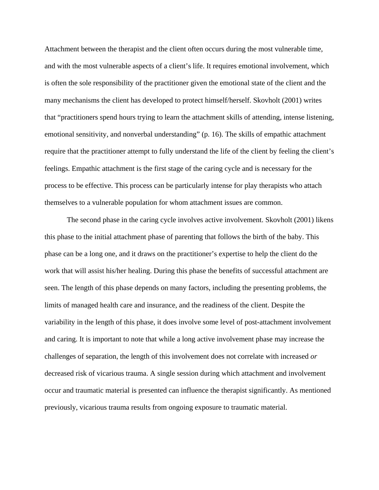Attachment between the therapist and the client often occurs during the most vulnerable time, and with the most vulnerable aspects of a client's life. It requires emotional involvement, which is often the sole responsibility of the practitioner given the emotional state of the client and the many mechanisms the client has developed to protect himself/herself. Skovholt (2001) writes that "practitioners spend hours trying to learn the attachment skills of attending, intense listening, emotional sensitivity, and nonverbal understanding" (p. 16). The skills of empathic attachment require that the practitioner attempt to fully understand the life of the client by feeling the client's feelings. Empathic attachment is the first stage of the caring cycle and is necessary for the process to be effective. This process can be particularly intense for play therapists who attach themselves to a vulnerable population for whom attachment issues are common.

 The second phase in the caring cycle involves active involvement. Skovholt (2001) likens this phase to the initial attachment phase of parenting that follows the birth of the baby. This phase can be a long one, and it draws on the practitioner's expertise to help the client do the work that will assist his/her healing. During this phase the benefits of successful attachment are seen. The length of this phase depends on many factors, including the presenting problems, the limits of managed health care and insurance, and the readiness of the client. Despite the variability in the length of this phase, it does involve some level of post-attachment involvement and caring. It is important to note that while a long active involvement phase may increase the challenges of separation, the length of this involvement does not correlate with increased *or* decreased risk of vicarious trauma. A single session during which attachment and involvement occur and traumatic material is presented can influence the therapist significantly. As mentioned previously, vicarious trauma results from ongoing exposure to traumatic material.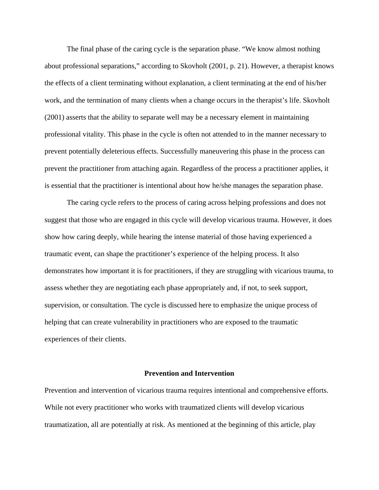The final phase of the caring cycle is the separation phase. "We know almost nothing about professional separations," according to Skovholt (2001, p. 21). However, a therapist knows the effects of a client terminating without explanation, a client terminating at the end of his/her work, and the termination of many clients when a change occurs in the therapist's life. Skovholt (2001) asserts that the ability to separate well may be a necessary element in maintaining professional vitality. This phase in the cycle is often not attended to in the manner necessary to prevent potentially deleterious effects. Successfully maneuvering this phase in the process can prevent the practitioner from attaching again. Regardless of the process a practitioner applies, it is essential that the practitioner is intentional about how he/she manages the separation phase.

 The caring cycle refers to the process of caring across helping professions and does not suggest that those who are engaged in this cycle will develop vicarious trauma. However, it does show how caring deeply, while hearing the intense material of those having experienced a traumatic event, can shape the practitioner's experience of the helping process. It also demonstrates how important it is for practitioners, if they are struggling with vicarious trauma, to assess whether they are negotiating each phase appropriately and, if not, to seek support, supervision, or consultation. The cycle is discussed here to emphasize the unique process of helping that can create vulnerability in practitioners who are exposed to the traumatic experiences of their clients.

## **Prevention and Intervention**

Prevention and intervention of vicarious trauma requires intentional and comprehensive efforts. While not every practitioner who works with traumatized clients will develop vicarious traumatization, all are potentially at risk. As mentioned at the beginning of this article, play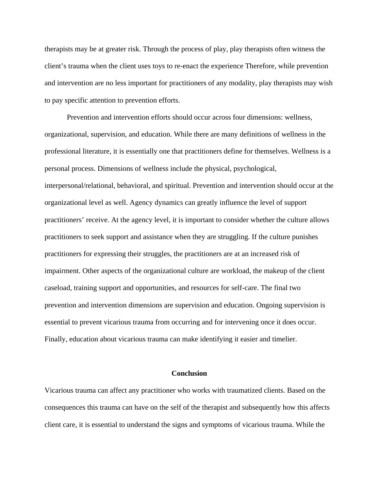therapists may be at greater risk. Through the process of play, play therapists often witness the client's trauma when the client uses toys to re-enact the experience Therefore, while prevention and intervention are no less important for practitioners of any modality, play therapists may wish to pay specific attention to prevention efforts.

 Prevention and intervention efforts should occur across four dimensions: wellness, organizational, supervision, and education. While there are many definitions of wellness in the professional literature, it is essentially one that practitioners define for themselves. Wellness is a personal process. Dimensions of wellness include the physical, psychological, interpersonal/relational, behavioral, and spiritual. Prevention and intervention should occur at the organizational level as well. Agency dynamics can greatly influence the level of support practitioners' receive. At the agency level, it is important to consider whether the culture allows practitioners to seek support and assistance when they are struggling. If the culture punishes practitioners for expressing their struggles, the practitioners are at an increased risk of impairment. Other aspects of the organizational culture are workload, the makeup of the client caseload, training support and opportunities, and resources for self-care. The final two prevention and intervention dimensions are supervision and education. Ongoing supervision is essential to prevent vicarious trauma from occurring and for intervening once it does occur. Finally, education about vicarious trauma can make identifying it easier and timelier.

## **Conclusion**

Vicarious trauma can affect any practitioner who works with traumatized clients. Based on the consequences this trauma can have on the self of the therapist and subsequently how this affects client care, it is essential to understand the signs and symptoms of vicarious trauma. While the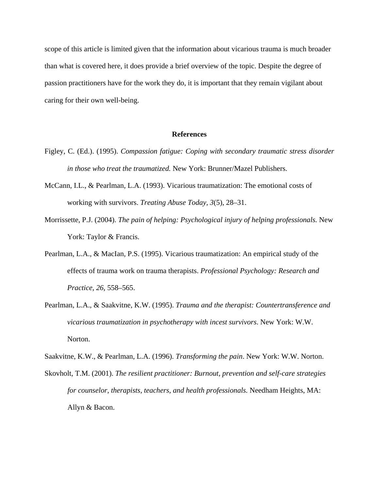scope of this article is limited given that the information about vicarious trauma is much broader than what is covered here, it does provide a brief overview of the topic. Despite the degree of passion practitioners have for the work they do, it is important that they remain vigilant about caring for their own well-being.

## **References**

- Figley, C. (Ed.). (1995). *Compassion fatigue: Coping with secondary traumatic stress disorder in those who treat the traumatized.* New York: Brunner/Mazel Publishers.
- McCann, I.L., & Pearlman, L.A. (1993). Vicarious traumatization: The emotional costs of working with survivors. *Treating Abuse Today, 3*(5), 28–31.
- Morrissette, P.J. (2004). *The pain of helping: Psychological injury of helping professionals.* New York: Taylor & Francis.
- Pearlman, L.A., & MacIan, P.S. (1995). Vicarious traumatization: An empirical study of the effects of trauma work on trauma therapists. *Professional Psychology: Research and Practice, 26*, 558–565.
- Pearlman, L.A., & Saakvitne, K.W. (1995). *Trauma and the therapist: Countertransference and vicarious traumatization in psychotherapy with incest survivors*. New York: W.W. Norton.

Saakvitne, K.W., & Pearlman, L.A. (1996). *Transforming the pain*. New York: W.W. Norton.

Skovholt, T.M. (2001). *The resilient practitioner: Burnout, prevention and self-care strategies for counselor, therapists, teachers, and health professionals.* Needham Heights, MA: Allyn & Bacon.